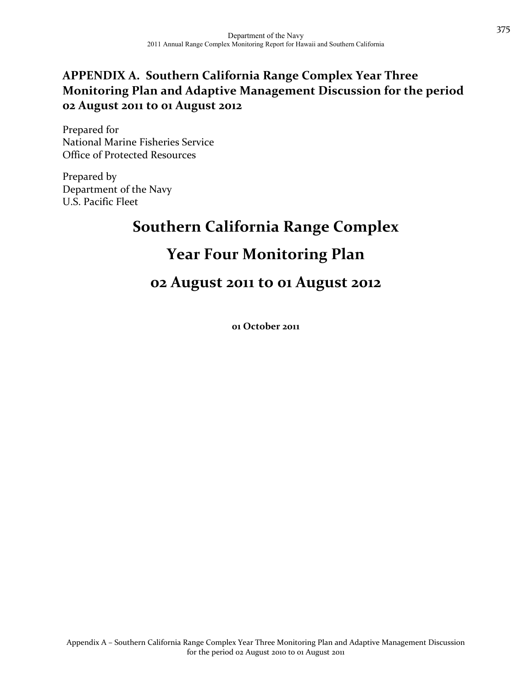### **APPENDIX A. Southern California Range Complex Year Three Monitoring Plan and Adaptive Management Discussion for the period 02 August 2011 to 01 August 2012**

Prepared for National Marine Fisheries Service Office of Protected Resources

Prepared by Department of the Navy U.S. Pacific Fleet

# **Southern California Range Complex Year Four Monitoring Plan**

## **02 August 2011 to 01 August 2012**

**01 October 2011**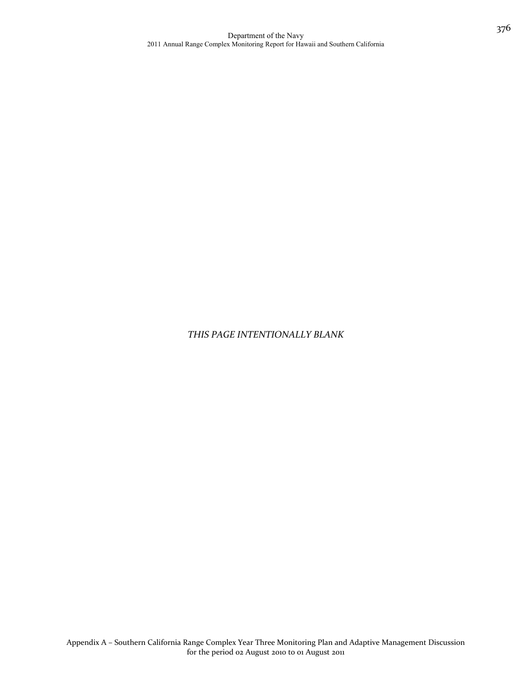#### *THIS PAGE INTENTIONALLY BLANK*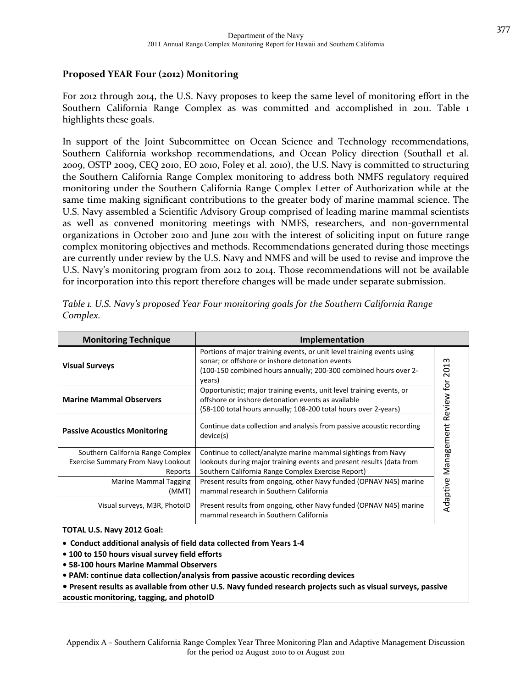For 2012 through 2014, the U.S. Navy proposes to keep the same level of monitoring effort in the Southern California Range Complex as was committed and accomplished in 2011. Table 1 highlights these goals.

In support of the Joint Subcommittee on Ocean Science and Technology recommendations, Southern California workshop recommendations, and Ocean Policy direction (Southall et al. 2009, OSTP 2009, CEQ 2010, EO 2010, Foley et al. 2010), the U.S. Navy is committed to structuring the Southern California Range Complex monitoring to address both NMFS regulatory required monitoring under the Southern California Range Complex Letter of Authorization while at the same time making significant contributions to the greater body of marine mammal science. The U.S. Navy assembled a Scientific Advisory Group comprised of leading marine mammal scientists as well as convened monitoring meetings with NMFS, researchers, and non‐governmental organizations in October 2010 and June 2011 with the interest of soliciting input on future range complex monitoring objectives and methods. Recommendations generated during those meetings are currently under review by the U.S. Navy and NMFS and will be used to revise and improve the U.S. Navy's monitoring program from 2012 to 2014. Those recommendations will not be available for incorporation into this report therefore changes will be made under separate submission.

| <b>Monitoring Technique</b>                                                               | Implementation                                                                                                                                                                                          |                                               |
|-------------------------------------------------------------------------------------------|---------------------------------------------------------------------------------------------------------------------------------------------------------------------------------------------------------|-----------------------------------------------|
| <b>Visual Surveys</b>                                                                     | Portions of major training events, or unit level training events using<br>sonar; or offshore or inshore detonation events<br>(100-150 combined hours annually; 200-300 combined hours over 2-<br>years) | ന<br>201<br>Review for<br>Adaptive Management |
| <b>Marine Mammal Observers</b>                                                            | Opportunistic; major training events, unit level training events, or<br>offshore or inshore detonation events as available<br>(58-100 total hours annually; 108-200 total hours over 2-years)           |                                               |
| <b>Passive Acoustics Monitoring</b>                                                       | Continue data collection and analysis from passive acoustic recording<br>device(s)                                                                                                                      |                                               |
| Southern California Range Complex<br><b>Exercise Summary From Navy Lookout</b><br>Reports | Continue to collect/analyze marine mammal sightings from Navy<br>lookouts during major training events and present results (data from<br>Southern California Range Complex Exercise Report)             |                                               |
| Marine Mammal Tagging<br>(MMT)                                                            | Present results from ongoing, other Navy funded (OPNAV N45) marine<br>mammal research in Southern California                                                                                            |                                               |
| Visual surveys, M3R, PhotoID                                                              | Present results from ongoing, other Navy funded (OPNAV N45) marine<br>mammal research in Southern California                                                                                            |                                               |

*Table 1. U.S. Navy's proposed Year Four monitoring goals for the Southern California Range Complex.*

**TOTAL U.S. Navy 2012 Goal:**

- **Conduct additional analysis of field data collected from Years 1‐4**
- **• 100 to 150 hours visual survey field efforts**
- **• 58‐100 hours Marine Mammal Observers**
- **• PAM: continue data collection/analysis from passive acoustic recording devices**
- Present results as available from other U.S. Navy funded research projects such as visual surveys, passive **acoustic monitoring, tagging, and photoID**